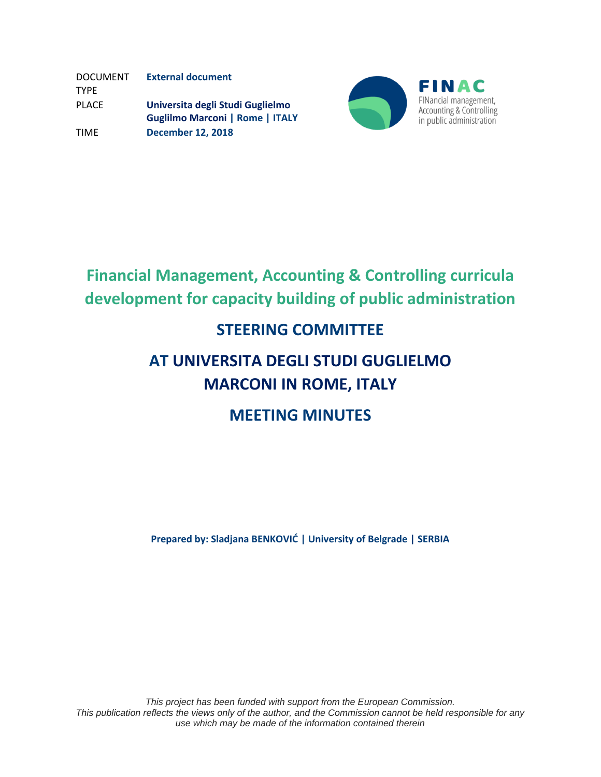DOCUMENT TYPE **External document** PLACE **Universita degli Studi Guglielmo Guglilmo Marconi | Rome | ITALY** TIME **December 12, 2018**



## **Financial Management, Accounting & Controlling curricula development for capacity building of public administration**

## **STEERING COMMITTEE**

# **AT UNIVERSITA DEGLI STUDI GUGLIELMO MARCONI IN ROME, ITALY**

## **MEETING MINUTES**

**Prepared by: Sladjana BENKOVIĆ | University of Belgrade | SERBIA**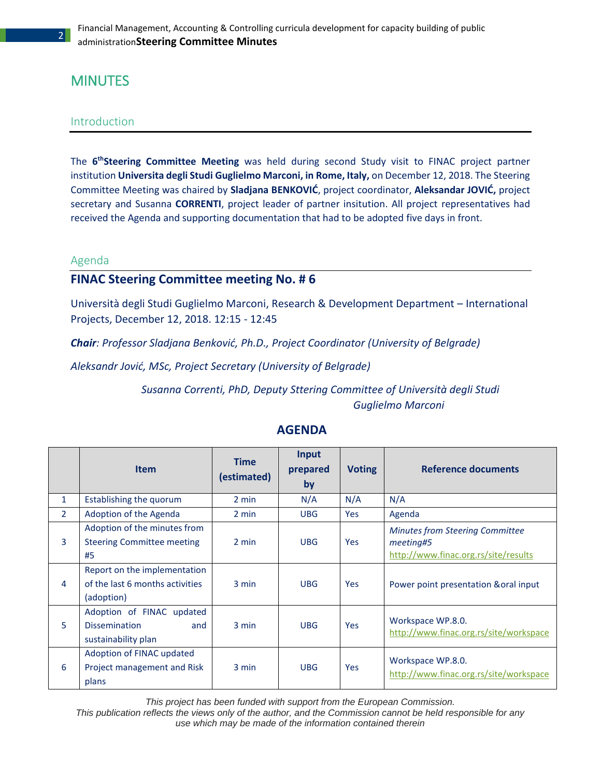### **MINUTES**

#### Introduction

The **6 thSteering Committee Meeting** was held during second Study visit to FINAC project partner institution **Universita degli Studi Guglielmo Marconi, in Rome, Italy,** on December 12, 2018. The Steering Committee Meeting was chaired by **Sladjana BENKOVIĆ**, project coordinator, **Aleksandar JOVIĆ,** project secretary and Susanna **CORRENTI**, project leader of partner insitution. All project representatives had received the Agenda and supporting documentation that had to be adopted five days in front.

#### Agenda

#### **FINAC Steering Committee meeting No. # 6**

Università degli Studi Guglielmo Marconi, Research & Development Department – International Projects, December 12, 2018. 12:15 - 12:45

*Chair: Professor Sladjana Benković, Ph.D., Project Coordinator (University of Belgrade)*

*Aleksandr Jović, MSc, Project Secretary (University of Belgrade)*

*Susanna Correnti, PhD, Deputy Sttering Committee of Università degli Studi Guglielmo Marconi*

|               | <b>Item</b>                                                                     | <b>Time</b><br>(estimated) | Input<br>prepared<br>by | <b>Voting</b> | Reference documents                                                                         |
|---------------|---------------------------------------------------------------------------------|----------------------------|-------------------------|---------------|---------------------------------------------------------------------------------------------|
| $\mathbf{1}$  | Establishing the quorum                                                         | 2 min                      | N/A                     | N/A           | N/A                                                                                         |
| $\mathcal{P}$ | Adoption of the Agenda                                                          | 2 min                      | <b>UBG</b>              | <b>Yes</b>    | Agenda                                                                                      |
| 3             | Adoption of the minutes from<br><b>Steering Committee meeting</b><br>#5         | 2 min                      | <b>UBG</b>              | <b>Yes</b>    | <b>Minutes from Steering Committee</b><br>meeting#5<br>http://www.finac.org.rs/site/results |
| 4             | Report on the implementation<br>of the last 6 months activities<br>(adoption)   | $3 \text{ min}$            | <b>UBG</b>              | <b>Yes</b>    | Power point presentation & oral input                                                       |
| 5             | Adoption of FINAC updated<br><b>Dissemination</b><br>and<br>sustainability plan | $3 \text{ min}$            | <b>UBG</b>              | Yes           | Workspace WP.8.0.<br>http://www.finac.org.rs/site/workspace                                 |
| 6             | Adoption of FINAC updated<br>Project management and Risk<br>plans               | $3 \text{ min}$            | <b>UBG</b>              | Yes           | Workspace WP.8.0.<br>http://www.finac.org.rs/site/workspace                                 |

#### **AGENDA**

*This project has been funded with support from the European Commission.*

*This publication reflects the views only of the author, and the Commission cannot be held responsible for any use which may be made of the information contained therein*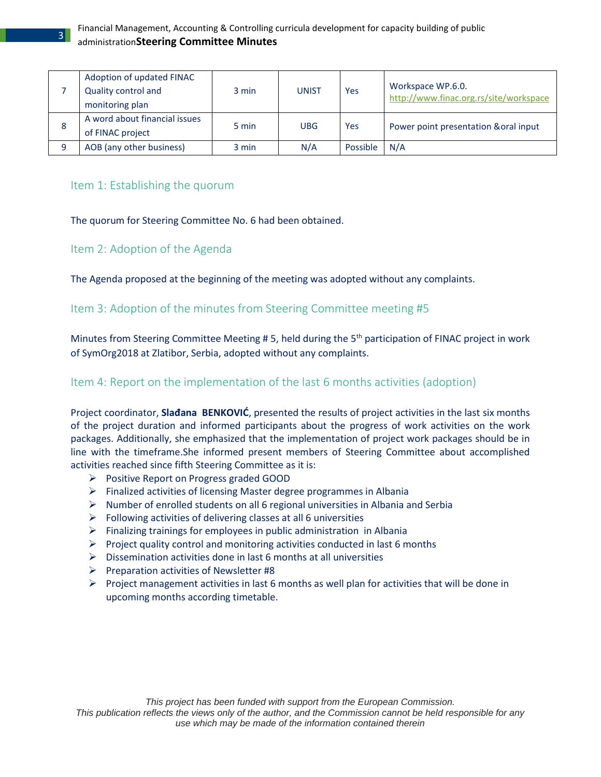|   | Adoption of updated FINAC<br>Quality control and<br>monitoring plan | 3 min | <b>UNIST</b> | Yes      | Workspace WP.6.0.<br>http://www.finac.org.rs/site/workspace |
|---|---------------------------------------------------------------------|-------|--------------|----------|-------------------------------------------------------------|
| 8 | A word about financial issues<br>of FINAC project                   | 5 min | <b>UBG</b>   | Yes      | Power point presentation & oral input                       |
| 9 | AOB (any other business)                                            | 3 min | N/A          | Possible | N/A                                                         |

#### Item 1: Establishing the quorum

3

#### The quorum for Steering Committee No. 6 had been obtained.

#### Item 2: Adoption of the Agenda

The Agenda proposed at the beginning of the meeting was adopted without any complaints.

#### Item 3: Adoption of the minutes from Steering Committee meeting #5

Minutes from Steering Committee Meeting #5, held during the 5<sup>th</sup> participation of FINAC project in work of SymOrg2018 at Zlatibor, Serbia, adopted without any complaints.

#### Item 4: Report on the implementation of the last 6 months activities (adoption)

Project coordinator, **Slađana BENKOVIĆ**, presented the results of project activities in the last six months of the project duration and informed participants about the progress of work activities on the work packages. Additionally, she emphasized that the implementation of project work packages should be in line with the timeframe.She informed present members of Steering Committee about accomplished activities reached since fifth Steering Committee as it is:

- $\triangleright$  Positive Report on Progress graded GOOD
- $\triangleright$  Finalized activities of licensing Master degree programmes in Albania
- $\triangleright$  Number of enrolled students on all 6 regional universities in Albania and Serbia
- $\triangleright$  Following activities of delivering classes at all 6 universities
- $\triangleright$  Finalizing trainings for employees in public administration in Albania
- $\triangleright$  Project quality control and monitoring activities conducted in last 6 months
- $\triangleright$  Dissemination activities done in last 6 months at all universities
- $\triangleright$  Preparation activities of Newsletter #8
- $\triangleright$  Project management activities in last 6 months as well plan for activities that will be done in upcoming months according timetable.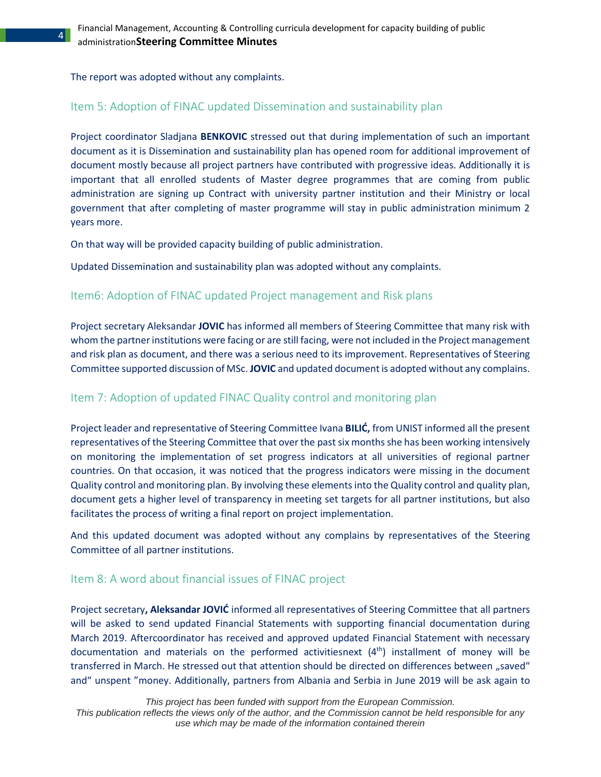The report was adopted without any complaints.

#### Item 5: Adoption of FINAC updated Dissemination and sustainability plan

Project coordinator Sladjana **BENKOVIC** stressed out that during implementation of such an important document as it is Dissemination and sustainability plan has opened room for additional improvement of document mostly because all project partners have contributed with progressive ideas. Additionally it is important that all enrolled students of Master degree programmes that are coming from public administration are signing up Contract with university partner institution and their Ministry or local government that after completing of master programme will stay in public administration minimum 2 years more.

On that way will be provided capacity building of public administration.

Updated Dissemination and sustainability plan was adopted without any complaints.

#### Item6: Adoption of FINAC updated Project management and Risk plans

Project secretary Aleksandar **JOVIC** has informed all members of Steering Committee that many risk with whom the partner institutions were facing or are still facing, were not included in the Project management and risk plan as document, and there was a serious need to its improvement. Representatives of Steering Committee supported discussion of MSc. **JOVIC** and updated document is adopted without any complains.

#### Item 7: Adoption of updated FINAC Quality control and monitoring plan

Project leader and representative of Steering Committee Ivana **BILIĆ,** from UNIST informed all the present representatives of the Steering Committee that over the past six months she has been working intensively on monitoring the implementation of set progress indicators at all universities of regional partner countries. On that occasion, it was noticed that the progress indicators were missing in the document Quality control and monitoring plan. By involving these elements into the Quality control and quality plan, document gets a higher level of transparency in meeting set targets for all partner institutions, but also facilitates the process of writing a final report on project implementation.

And this updated document was adopted without any complains by representatives of the Steering Committee of all partner institutions.

#### Item 8: A word about financial issues of FINAC project

Project secretary**, Aleksandar JOVIĆ** informed all representatives of Steering Committee that all partners will be asked to send updated Financial Statements with supporting financial documentation during March 2019. Aftercoordinator has received and approved updated Financial Statement with necessary documentation and materials on the performed activitiesnext  $(4<sup>th</sup>)$  installment of money will be transferred in March. He stressed out that attention should be directed on differences between "saved" and" unspent "money. Additionally, partners from Albania and Serbia in June 2019 will be ask again to

*This project has been funded with support from the European Commission.*

*This publication reflects the views only of the author, and the Commission cannot be held responsible for any use which may be made of the information contained therein*